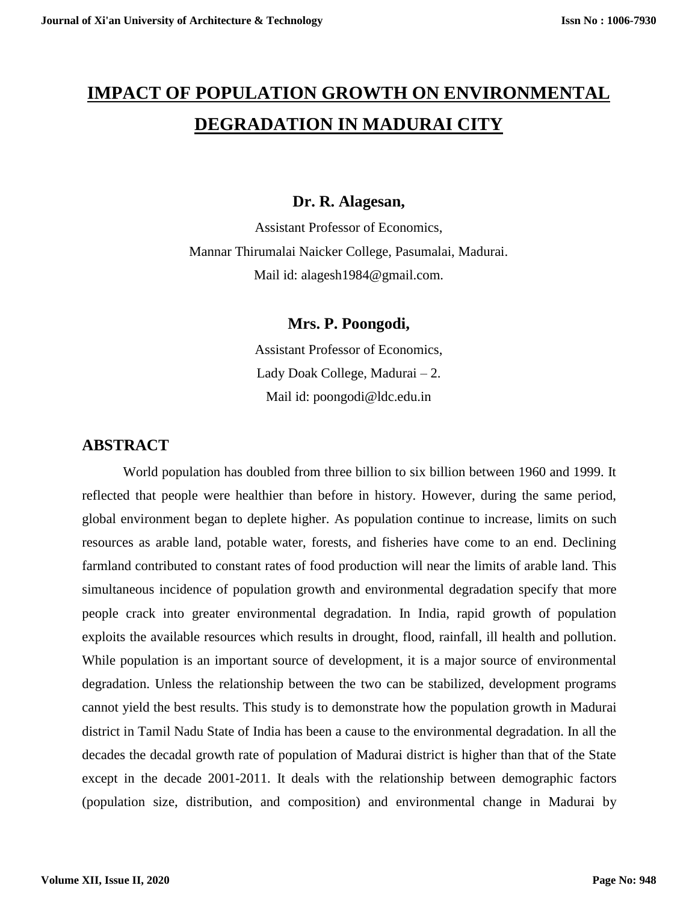# **IMPACT OF POPULATION GROWTH ON ENVIRONMENTAL DEGRADATION IN MADURAI CITY**

#### **Dr. R. Alagesan,**

Assistant Professor of Economics, Mannar Thirumalai Naicker College, Pasumalai, Madurai. Mail id: alagesh1984@gmail.com.

**Mrs. P. Poongodi,**

Assistant Professor of Economics, Lady Doak College, Madurai – 2. Mail id: poongodi@ldc.edu.in

#### **ABSTRACT**

World population has doubled from three billion to six billion between 1960 and 1999. It reflected that people were healthier than before in history. However, during the same period, global environment began to deplete higher. As population continue to increase, limits on such resources as arable land, potable water, forests, and fisheries have come to an end. Declining farmland contributed to constant rates of food production will near the limits of arable land. This simultaneous incidence of population growth and environmental degradation specify that more people crack into greater environmental degradation. In India, rapid growth of population exploits the available resources which results in drought, flood, rainfall, ill health and pollution. While population is an important source of development, it is a major source of environmental degradation. Unless the relationship between the two can be stabilized, development programs cannot yield the best results. This study is to demonstrate how the population growth in Madurai district in Tamil Nadu State of India has been a cause to the environmental degradation. In all the decades the decadal growth rate of population of Madurai district is higher than that of the State except in the decade 2001-2011. It deals with the relationship between demographic factors (population size, distribution, and composition) and environmental change in Madurai by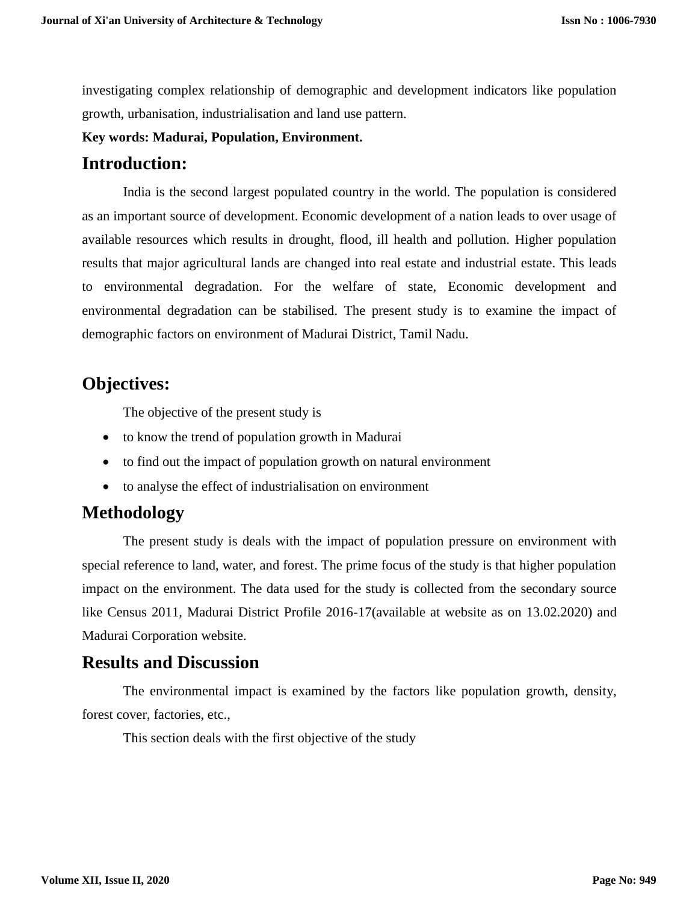investigating complex relationship of demographic and development indicators like population growth, urbanisation, industrialisation and land use pattern.

#### **Key words: Madurai, Population, Environment.**

### **Introduction:**

India is the second largest populated country in the world. The population is considered as an important source of development. Economic development of a nation leads to over usage of available resources which results in drought, flood, ill health and pollution. Higher population results that major agricultural lands are changed into real estate and industrial estate. This leads to environmental degradation. For the welfare of state, Economic development and environmental degradation can be stabilised. The present study is to examine the impact of demographic factors on environment of Madurai District, Tamil Nadu.

## **Objectives:**

The objective of the present study is

- to know the trend of population growth in Madurai
- to find out the impact of population growth on natural environment
- to analyse the effect of industrialisation on environment

# **Methodology**

The present study is deals with the impact of population pressure on environment with special reference to land, water, and forest. The prime focus of the study is that higher population impact on the environment. The data used for the study is collected from the secondary source like Census 2011, Madurai District Profile 2016-17(available at website as on 13.02.2020) and Madurai Corporation website.

### **Results and Discussion**

The environmental impact is examined by the factors like population growth, density, forest cover, factories, etc.,

This section deals with the first objective of the study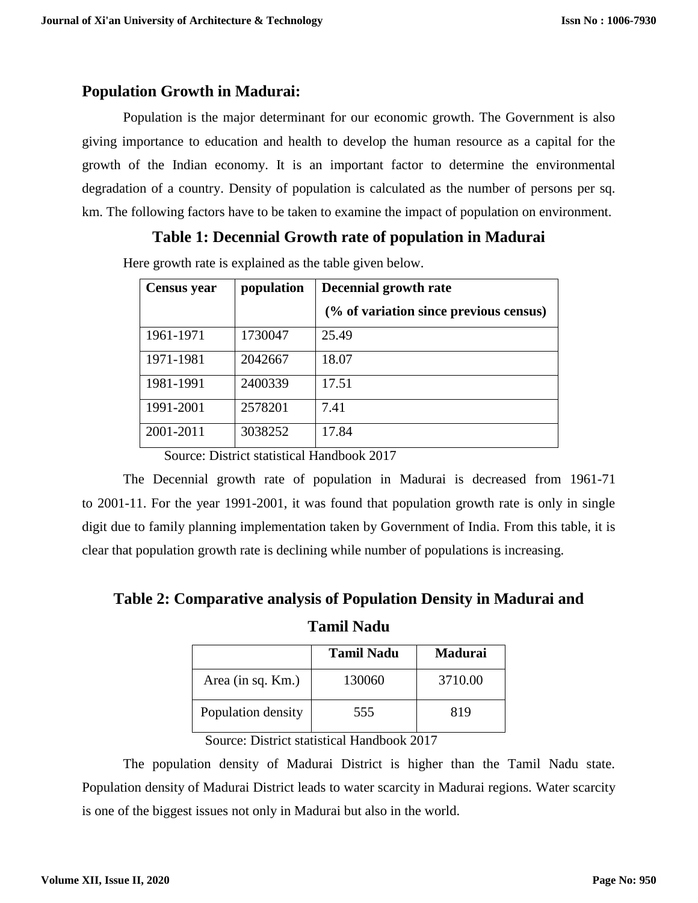#### **Population Growth in Madurai:**

Population is the major determinant for our economic growth. The Government is also giving importance to education and health to develop the human resource as a capital for the growth of the Indian economy. It is an important factor to determine the environmental degradation of a country. Density of population is calculated as the number of persons per sq. km. The following factors have to be taken to examine the impact of population on environment.

### **Table 1: Decennial Growth rate of population in Madurai**

Here growth rate is explained as the table given below.

| <b>Census</b> year | population | Decennial growth rate                  |  |  |
|--------------------|------------|----------------------------------------|--|--|
|                    |            | (% of variation since previous census) |  |  |
| 1961-1971          | 1730047    | 25.49                                  |  |  |
| 1971-1981          | 2042667    | 18.07                                  |  |  |
| 1981-1991          | 2400339    | 17.51                                  |  |  |
| 1991-2001          | 2578201    | 7.41                                   |  |  |
| 2001-2011          | 3038252    | 17.84                                  |  |  |

Source: District statistical Handbook 2017

The Decennial growth rate of population in Madurai is decreased from 1961-71 to 2001-11. For the year 1991-2001, it was found that population growth rate is only in single digit due to family planning implementation taken by Government of India. From this table, it is clear that population growth rate is declining while number of populations is increasing.

**Table 2: Comparative analysis of Population Density in Madurai and** 

**Tamil Nadu**

|                    | <b>Tamil Nadu</b> | Madurai |
|--------------------|-------------------|---------|
| Area (in sq. Km.)  | 130060            | 3710.00 |
| Population density | 555               | 819     |

Source: District statistical Handbook 2017

The population density of Madurai District is higher than the Tamil Nadu state. Population density of Madurai District leads to water scarcity in Madurai regions. Water scarcity is one of the biggest issues not only in Madurai but also in the world.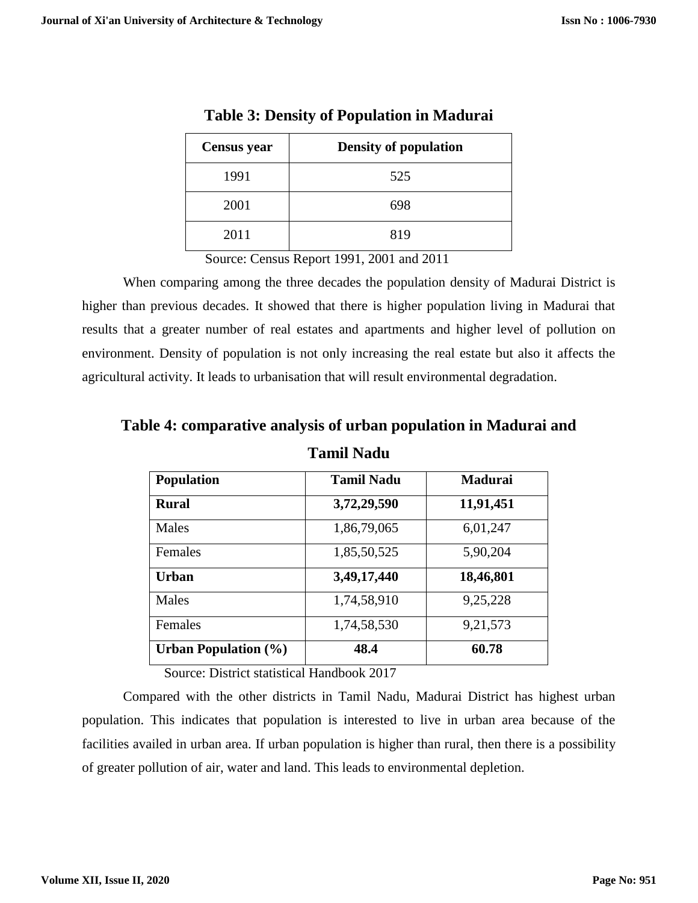| <b>Census</b> year | <b>Density of population</b> |
|--------------------|------------------------------|
| 1991               | 525                          |
| 2001               | 698                          |
| 2011               | 819                          |

**Table 3: Density of Population in Madurai**

Source: Census Report 1991, 2001 and 2011

When comparing among the three decades the population density of Madurai District is higher than previous decades. It showed that there is higher population living in Madurai that results that a greater number of real estates and apartments and higher level of pollution on environment. Density of population is not only increasing the real estate but also it affects the agricultural activity. It leads to urbanisation that will result environmental degradation.

| <b>Population</b>              | <b>Tamil Nadu</b> | Madurai   |
|--------------------------------|-------------------|-----------|
| <b>Rural</b>                   | 3,72,29,590       | 11,91,451 |
| Males                          | 1,86,79,065       | 6,01,247  |
| <b>Females</b>                 | 1,85,50,525       | 5,90,204  |
| <b>Urban</b>                   | 3,49,17,440       | 18,46,801 |
| Males                          | 1,74,58,910       | 9,25,228  |
| Females                        | 1,74,58,530       | 9,21,573  |
| <b>Urban Population</b> $(\%)$ | 48.4              | 60.78     |

**Table 4: comparative analysis of urban population in Madurai and** 

**Tamil Nadu**

Source: District statistical Handbook 2017

Compared with the other districts in Tamil Nadu, Madurai District has highest urban population. This indicates that population is interested to live in urban area because of the facilities availed in urban area. If urban population is higher than rural, then there is a possibility of greater pollution of air, water and land. This leads to environmental depletion.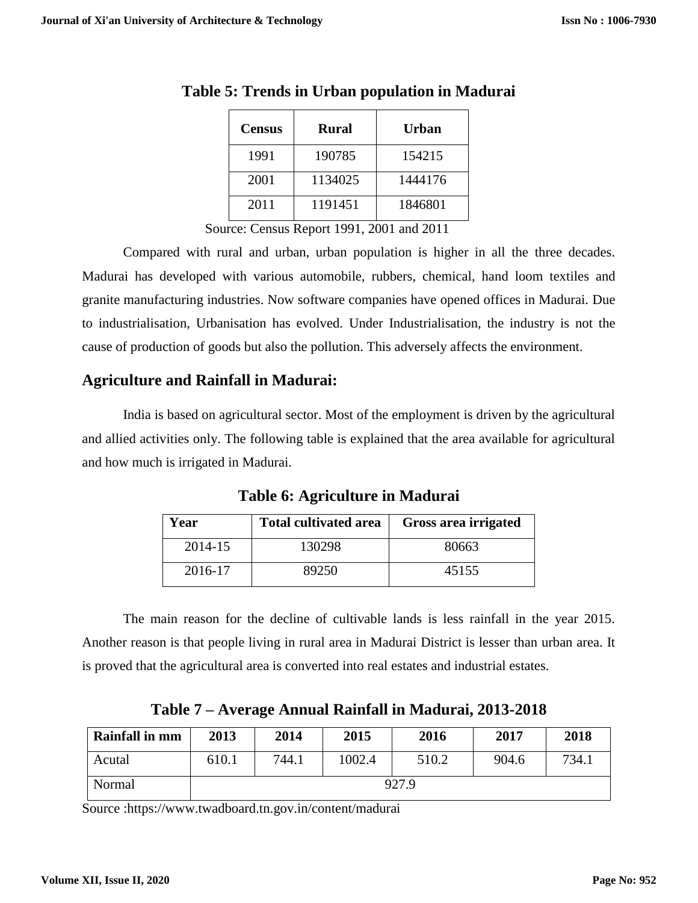| <b>Census</b> | <b>Rural</b> | Urban   |
|---------------|--------------|---------|
| 1991          | 190785       | 154215  |
| 2001          | 1134025      | 1444176 |
| 2011          | 1191451      | 1846801 |

**Table 5: Trends in Urban population in Madurai**

Source: Census Report 1991, 2001 and 2011

Compared with rural and urban, urban population is higher in all the three decades. Madurai has developed with various automobile, rubbers, chemical, hand loom textiles and granite manufacturing industries. Now software companies have opened offices in Madurai. Due to industrialisation, Urbanisation has evolved. Under Industrialisation, the industry is not the cause of production of goods but also the pollution. This adversely affects the environment.

#### **Agriculture and Rainfall in Madurai:**

India is based on agricultural sector. Most of the employment is driven by the agricultural and allied activities only. The following table is explained that the area available for agricultural and how much is irrigated in Madurai.

**Table 6: Agriculture in Madurai**

| Year    | <b>Total cultivated area</b> | Gross area irrigated |
|---------|------------------------------|----------------------|
| 2014-15 | 130298                       | 80663                |
| 2016-17 | 89250                        | 45155                |

The main reason for the decline of cultivable lands is less rainfall in the year 2015. Another reason is that people living in rural area in Madurai District is lesser than urban area. It is proved that the agricultural area is converted into real estates and industrial estates.

**Table 7 – Average Annual Rainfall in Madurai, 2013-2018**

| <b>Rainfall in mm</b> | 2013  | 2014  | 2015   | 2016  | 2017  | 2018  |
|-----------------------|-------|-------|--------|-------|-------|-------|
| Acutal                | 610.1 | 744.1 | 1002.4 | 510.2 | 904.6 | 734.1 |
| Normal                | 927.9 |       |        |       |       |       |

Source [:https://www.twadboard.tn.gov.in/content/madurai](https://www.twadboard.tn.gov.in/content/madurai)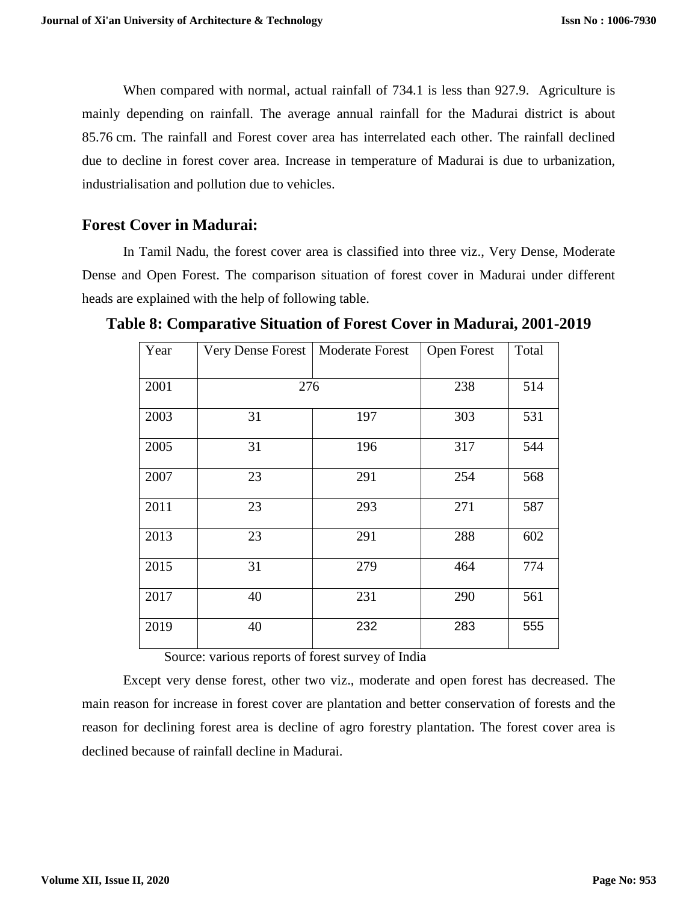When compared with normal, actual rainfall of 734.1 is less than 927.9. Agriculture is mainly depending on rainfall. The average annual rainfall for the Madurai district is about 85.76 cm. The rainfall and Forest cover area has interrelated each other. The rainfall declined due to decline in forest cover area. Increase in temperature of Madurai is due to urbanization, industrialisation and pollution due to vehicles.

#### **Forest Cover in Madurai:**

In Tamil Nadu, the forest cover area is classified into three viz., Very Dense, Moderate Dense and Open Forest. The comparison situation of forest cover in Madurai under different heads are explained with the help of following table.

| Year | <b>Very Dense Forest</b> | <b>Moderate Forest</b> | <b>Open Forest</b> | Total |
|------|--------------------------|------------------------|--------------------|-------|
| 2001 | 276                      |                        | 238                | 514   |
|      |                          |                        |                    |       |
| 2003 | 31                       | 197                    | 303                | 531   |
| 2005 | 31                       | 196                    | 317                | 544   |
| 2007 | 23                       | 291                    | 254                | 568   |
| 2011 | 23                       | 293                    | 271                | 587   |
| 2013 | 23                       | 291                    | 288                | 602   |
| 2015 | 31                       | 279                    | 464                | 774   |
| 2017 | 40                       | 231                    | 290                | 561   |
| 2019 | 40                       | 232                    | 283                | 555   |

**Table 8: Comparative Situation of Forest Cover in Madurai, 2001-2019**

Source: various reports of forest survey of India

Except very dense forest, other two viz., moderate and open forest has decreased. The main reason for increase in forest cover are plantation and better conservation of forests and the reason for declining forest area is decline of agro forestry plantation. The forest cover area is declined because of rainfall decline in Madurai.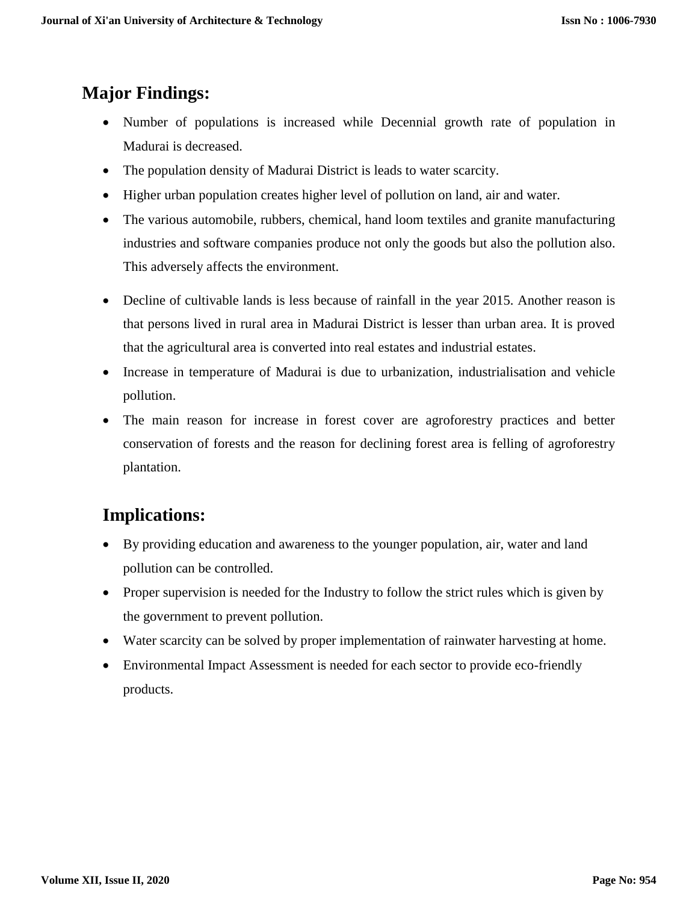# **Major Findings:**

- Number of populations is increased while Decennial growth rate of population in Madurai is decreased.
- The population density of Madurai District is leads to water scarcity.
- Higher urban population creates higher level of pollution on land, air and water.
- The various automobile, rubbers, chemical, hand loom textiles and granite manufacturing industries and software companies produce not only the goods but also the pollution also. This adversely affects the environment.
- Decline of cultivable lands is less because of rainfall in the year 2015. Another reason is that persons lived in rural area in Madurai District is lesser than urban area. It is proved that the agricultural area is converted into real estates and industrial estates.
- Increase in temperature of Madurai is due to urbanization, industrialisation and vehicle pollution.
- The main reason for increase in forest cover are agroforestry practices and better conservation of forests and the reason for declining forest area is felling of agroforestry plantation.

# **Implications:**

- By providing education and awareness to the younger population, air, water and land pollution can be controlled.
- Proper supervision is needed for the Industry to follow the strict rules which is given by the government to prevent pollution.
- Water scarcity can be solved by proper implementation of rainwater harvesting at home.
- Environmental Impact Assessment is needed for each sector to provide eco-friendly products.